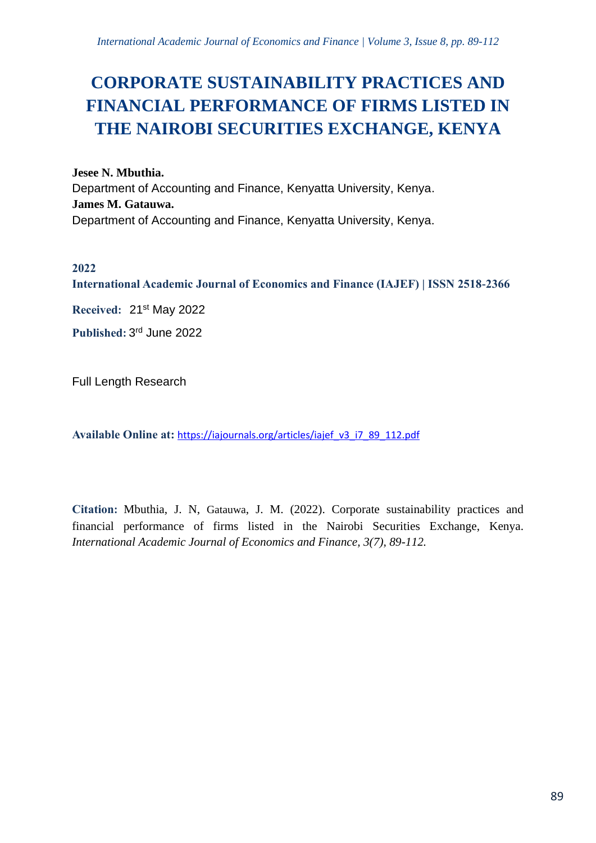# **CORPORATE SUSTAINABILITY PRACTICES AND FINANCIAL PERFORMANCE OF FIRMS LISTED IN THE NAIROBI SECURITIES EXCHANGE, KENYA**

**Jesee N. Mbuthia.** Department of Accounting and Finance, Kenyatta University, Kenya. **James M. Gatauwa.** Department of Accounting and Finance, Kenyatta University, Kenya.

#### **2022**

**International Academic Journal of Economics and Finance (IAJEF) | ISSN 2518-2366**

**Received:** 21st May 2022

**Published:** 3 rd June 2022

Full Length Research

**Available Online at:** [https://iajournals.org/articles/iajef\\_v3\\_i7\\_89\\_112.pdf](https://iajournals.org/articles/iajef_v3_i7_89_112.pdf)

**Citation:** Mbuthia, J. N, Gatauwa, J. M. (2022). Corporate sustainability practices and financial performance of firms listed in the Nairobi Securities Exchange, Kenya. *International Academic Journal of Economics and Finance, 3(7), 89-112.*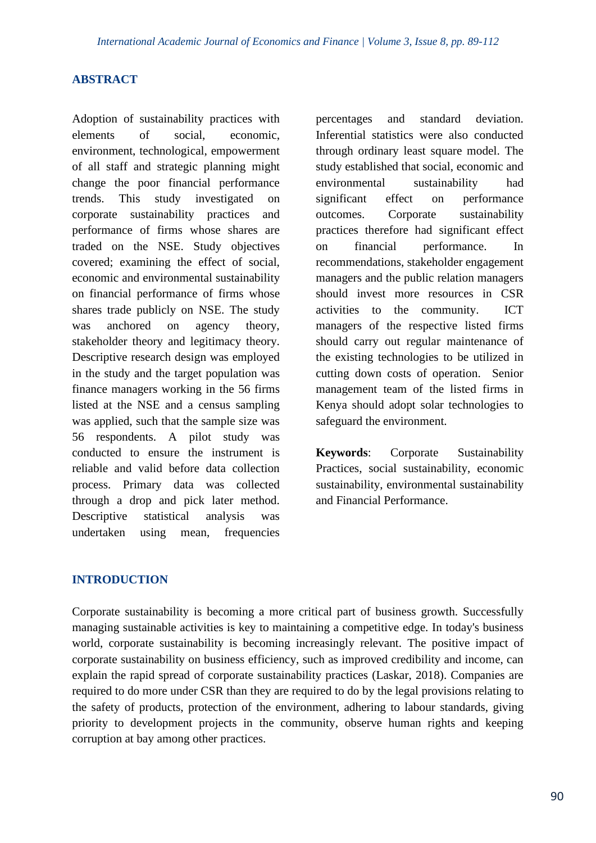# **ABSTRACT**

Adoption of sustainability practices with elements of social, economic, environment, technological, empowerment of all staff and strategic planning might change the poor financial performance trends. This study investigated on corporate sustainability practices and performance of firms whose shares are traded on the NSE. Study objectives covered; examining the effect of social, economic and environmental sustainability on financial performance of firms whose shares trade publicly on NSE. The study was anchored on agency theory, stakeholder theory and legitimacy theory. Descriptive research design was employed in the study and the target population was finance managers working in the 56 firms listed at the NSE and a census sampling was applied, such that the sample size was 56 respondents. A pilot study was conducted to ensure the instrument is reliable and valid before data collection process. Primary data was collected through a drop and pick later method. Descriptive statistical analysis was undertaken using mean, frequencies

percentages and standard deviation. Inferential statistics were also conducted through ordinary least square model. The study established that social, economic and environmental sustainability had significant effect on performance outcomes. Corporate sustainability practices therefore had significant effect on financial performance. In recommendations, stakeholder engagement managers and the public relation managers should invest more resources in CSR activities to the community. ICT managers of the respective listed firms should carry out regular maintenance of the existing technologies to be utilized in cutting down costs of operation. Senior management team of the listed firms in Kenya should adopt solar technologies to safeguard the environment.

**Keywords**: Corporate Sustainability Practices, social sustainability, economic sustainability, environmental sustainability and Financial Performance.

#### **INTRODUCTION**

Corporate sustainability is becoming a more critical part of business growth. Successfully managing sustainable activities is key to maintaining a competitive edge. In today's business world, corporate sustainability is becoming increasingly relevant. The positive impact of corporate sustainability on business efficiency, such as improved credibility and income, can explain the rapid spread of corporate sustainability practices (Laskar, 2018). Companies are required to do more under CSR than they are required to do by the legal provisions relating to the safety of products, protection of the environment, adhering to labour standards, giving priority to development projects in the community, observe human rights and keeping corruption at bay among other practices.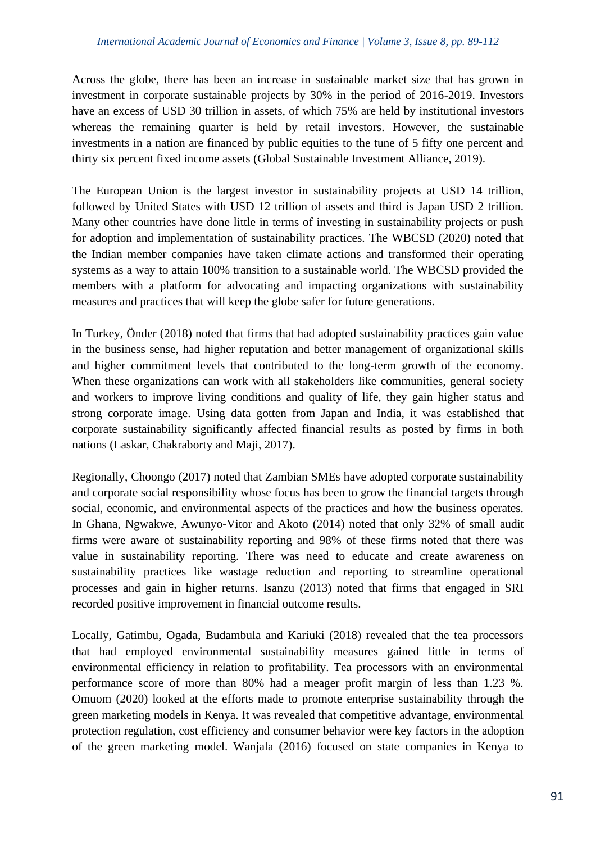Across the globe, there has been an increase in sustainable market size that has grown in investment in corporate sustainable projects by 30% in the period of 2016-2019. Investors have an excess of USD 30 trillion in assets, of which 75% are held by institutional investors whereas the remaining quarter is held by retail investors. However, the sustainable investments in a nation are financed by public equities to the tune of 5 fifty one percent and thirty six percent fixed income assets (Global Sustainable Investment Alliance, 2019).

The European Union is the largest investor in sustainability projects at USD 14 trillion, followed by United States with USD 12 trillion of assets and third is Japan USD 2 trillion. Many other countries have done little in terms of investing in sustainability projects or push for adoption and implementation of sustainability practices. The WBCSD (2020) noted that the Indian member companies have taken climate actions and transformed their operating systems as a way to attain 100% transition to a sustainable world. The WBCSD provided the members with a platform for advocating and impacting organizations with sustainability measures and practices that will keep the globe safer for future generations.

In Turkey, Önder (2018) noted that firms that had adopted sustainability practices gain value in the business sense, had higher reputation and better management of organizational skills and higher commitment levels that contributed to the long-term growth of the economy. When these organizations can work with all stakeholders like communities, general society and workers to improve living conditions and quality of life, they gain higher status and strong corporate image. Using data gotten from Japan and India, it was established that corporate sustainability significantly affected financial results as posted by firms in both nations (Laskar, Chakraborty and Maji, 2017).

Regionally, Choongo (2017) noted that Zambian SMEs have adopted corporate sustainability and corporate social responsibility whose focus has been to grow the financial targets through social, economic, and environmental aspects of the practices and how the business operates. In Ghana, Ngwakwe, Awunyo-Vitor and Akoto (2014) noted that only 32% of small audit firms were aware of sustainability reporting and 98% of these firms noted that there was value in sustainability reporting. There was need to educate and create awareness on sustainability practices like wastage reduction and reporting to streamline operational processes and gain in higher returns. Isanzu (2013) noted that firms that engaged in SRI recorded positive improvement in financial outcome results.

Locally, Gatimbu, Ogada, Budambula and Kariuki (2018) revealed that the tea processors that had employed environmental sustainability measures gained little in terms of environmental efficiency in relation to profitability. Tea processors with an environmental performance score of more than 80% had a meager profit margin of less than 1.23 %. Omuom (2020) looked at the efforts made to promote enterprise sustainability through the green marketing models in Kenya. It was revealed that competitive advantage, environmental protection regulation, cost efficiency and consumer behavior were key factors in the adoption of the green marketing model. Wanjala (2016) focused on state companies in Kenya to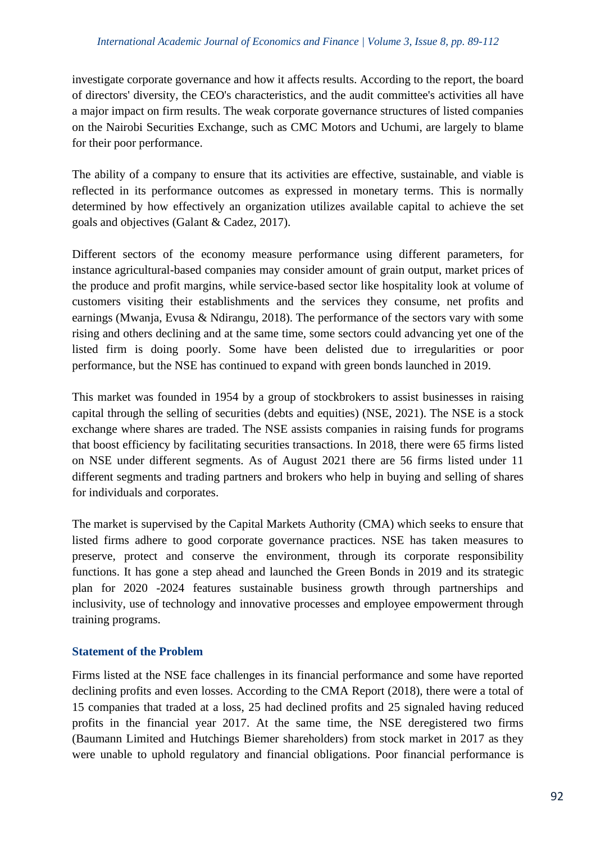investigate corporate governance and how it affects results. According to the report, the board of directors' diversity, the CEO's characteristics, and the audit committee's activities all have a major impact on firm results. The weak corporate governance structures of listed companies on the Nairobi Securities Exchange, such as CMC Motors and Uchumi, are largely to blame for their poor performance.

The ability of a company to ensure that its activities are effective, sustainable, and viable is reflected in its performance outcomes as expressed in monetary terms. This is normally determined by how effectively an organization utilizes available capital to achieve the set goals and objectives (Galant & Cadez, 2017).

Different sectors of the economy measure performance using different parameters, for instance agricultural-based companies may consider amount of grain output, market prices of the produce and profit margins, while service-based sector like hospitality look at volume of customers visiting their establishments and the services they consume, net profits and earnings (Mwanja, Evusa & Ndirangu, 2018). The performance of the sectors vary with some rising and others declining and at the same time, some sectors could advancing yet one of the listed firm is doing poorly. Some have been delisted due to irregularities or poor performance, but the NSE has continued to expand with green bonds launched in 2019.

This market was founded in 1954 by a group of stockbrokers to assist businesses in raising capital through the selling of securities (debts and equities) (NSE, 2021). The NSE is a stock exchange where shares are traded. The NSE assists companies in raising funds for programs that boost efficiency by facilitating securities transactions. In 2018, there were 65 firms listed on NSE under different segments. As of August 2021 there are 56 firms listed under 11 different segments and trading partners and brokers who help in buying and selling of shares for individuals and corporates.

The market is supervised by the Capital Markets Authority (CMA) which seeks to ensure that listed firms adhere to good corporate governance practices. NSE has taken measures to preserve, protect and conserve the environment, through its corporate responsibility functions. It has gone a step ahead and launched the Green Bonds in 2019 and its strategic plan for 2020 -2024 features sustainable business growth through partnerships and inclusivity, use of technology and innovative processes and employee empowerment through training programs.

# **Statement of the Problem**

Firms listed at the NSE face challenges in its financial performance and some have reported declining profits and even losses. According to the CMA Report (2018), there were a total of 15 companies that traded at a loss, 25 had declined profits and 25 signaled having reduced profits in the financial year 2017. At the same time, the NSE deregistered two firms (Baumann Limited and Hutchings Biemer shareholders) from stock market in 2017 as they were unable to uphold regulatory and financial obligations. Poor financial performance is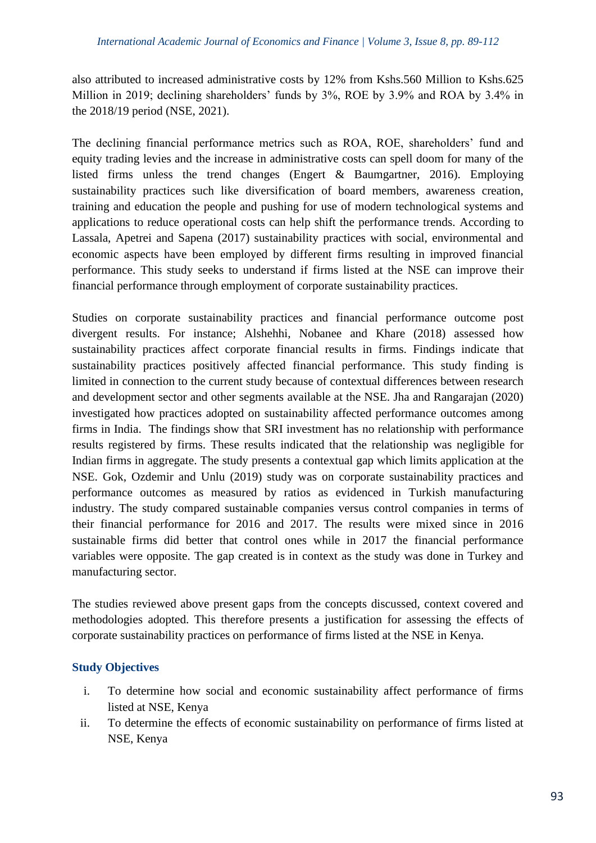also attributed to increased administrative costs by 12% from Kshs.560 Million to Kshs.625 Million in 2019; declining shareholders' funds by 3%, ROE by 3.9% and ROA by 3.4% in the 2018/19 period (NSE, 2021).

The declining financial performance metrics such as ROA, ROE, shareholders' fund and equity trading levies and the increase in administrative costs can spell doom for many of the listed firms unless the trend changes (Engert & Baumgartner, 2016). Employing sustainability practices such like diversification of board members, awareness creation, training and education the people and pushing for use of modern technological systems and applications to reduce operational costs can help shift the performance trends. According to Lassala, Apetrei and Sapena (2017) sustainability practices with social, environmental and economic aspects have been employed by different firms resulting in improved financial performance. This study seeks to understand if firms listed at the NSE can improve their financial performance through employment of corporate sustainability practices.

Studies on corporate sustainability practices and financial performance outcome post divergent results. For instance; Alshehhi, Nobanee and Khare (2018) assessed how sustainability practices affect corporate financial results in firms. Findings indicate that sustainability practices positively affected financial performance. This study finding is limited in connection to the current study because of contextual differences between research and development sector and other segments available at the NSE. Jha and Rangarajan (2020) investigated how practices adopted on sustainability affected performance outcomes among firms in India. The findings show that SRI investment has no relationship with performance results registered by firms. These results indicated that the relationship was negligible for Indian firms in aggregate. The study presents a contextual gap which limits application at the NSE. Gok, Ozdemir and Unlu (2019) study was on corporate sustainability practices and performance outcomes as measured by ratios as evidenced in Turkish manufacturing industry. The study compared sustainable companies versus control companies in terms of their financial performance for 2016 and 2017. The results were mixed since in 2016 sustainable firms did better that control ones while in 2017 the financial performance variables were opposite. The gap created is in context as the study was done in Turkey and manufacturing sector.

The studies reviewed above present gaps from the concepts discussed, context covered and methodologies adopted. This therefore presents a justification for assessing the effects of corporate sustainability practices on performance of firms listed at the NSE in Kenya.

# **Study Objectives**

- i. To determine how social and economic sustainability affect performance of firms listed at NSE, Kenya
- ii. To determine the effects of economic sustainability on performance of firms listed at NSE, Kenya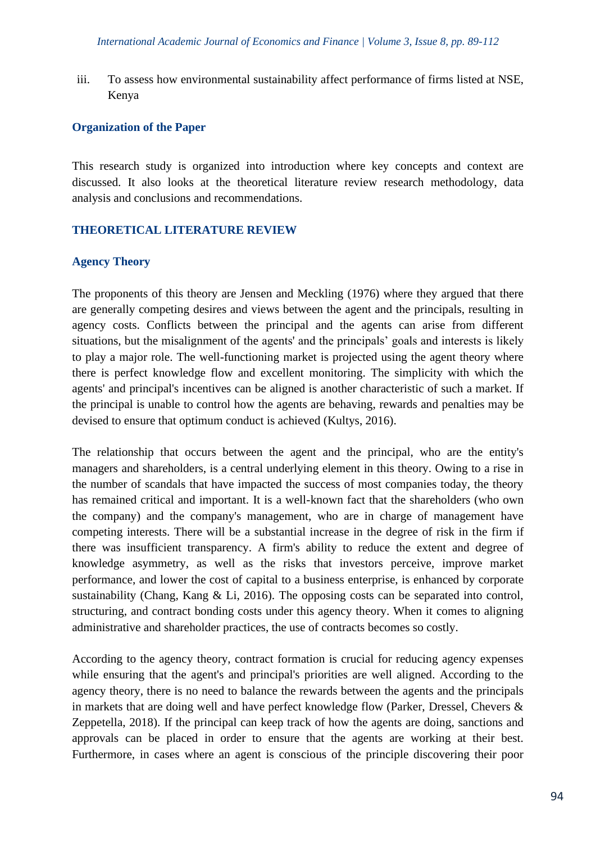iii. To assess how environmental sustainability affect performance of firms listed at NSE, Kenya

#### **Organization of the Paper**

This research study is organized into introduction where key concepts and context are discussed. It also looks at the theoretical literature review research methodology, data analysis and conclusions and recommendations.

#### **THEORETICAL LITERATURE REVIEW**

#### **Agency Theory**

The proponents of this theory are Jensen and Meckling (1976) where they argued that there are generally competing desires and views between the agent and the principals, resulting in agency costs. Conflicts between the principal and the agents can arise from different situations, but the misalignment of the agents' and the principals' goals and interests is likely to play a major role. The well-functioning market is projected using the agent theory where there is perfect knowledge flow and excellent monitoring. The simplicity with which the agents' and principal's incentives can be aligned is another characteristic of such a market. If the principal is unable to control how the agents are behaving, rewards and penalties may be devised to ensure that optimum conduct is achieved (Kultys, 2016).

The relationship that occurs between the agent and the principal, who are the entity's managers and shareholders, is a central underlying element in this theory. Owing to a rise in the number of scandals that have impacted the success of most companies today, the theory has remained critical and important. It is a well-known fact that the shareholders (who own the company) and the company's management, who are in charge of management have competing interests. There will be a substantial increase in the degree of risk in the firm if there was insufficient transparency. A firm's ability to reduce the extent and degree of knowledge asymmetry, as well as the risks that investors perceive, improve market performance, and lower the cost of capital to a business enterprise, is enhanced by corporate sustainability (Chang, Kang & Li, 2016). The opposing costs can be separated into control, structuring, and contract bonding costs under this agency theory. When it comes to aligning administrative and shareholder practices, the use of contracts becomes so costly.

According to the agency theory, contract formation is crucial for reducing agency expenses while ensuring that the agent's and principal's priorities are well aligned. According to the agency theory, there is no need to balance the rewards between the agents and the principals in markets that are doing well and have perfect knowledge flow (Parker, Dressel, Chevers & Zeppetella, 2018). If the principal can keep track of how the agents are doing, sanctions and approvals can be placed in order to ensure that the agents are working at their best. Furthermore, in cases where an agent is conscious of the principle discovering their poor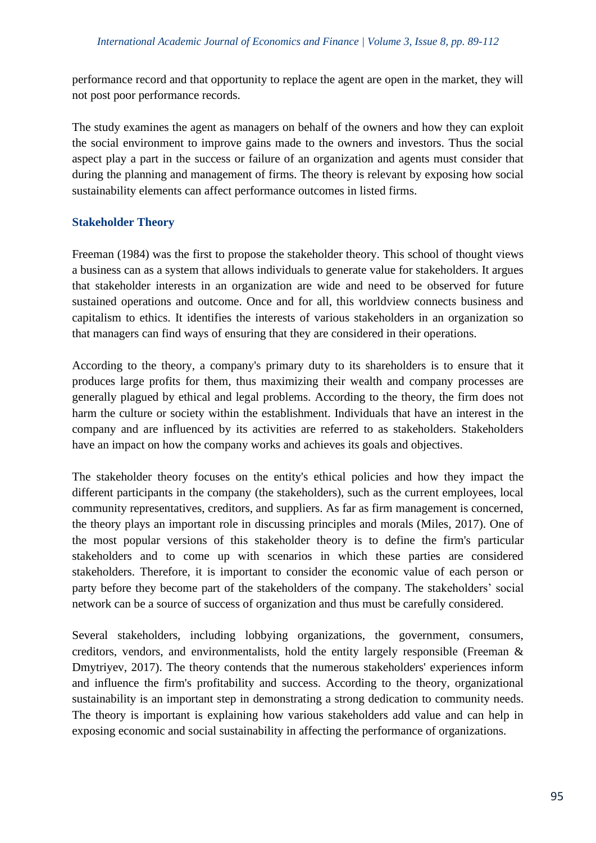performance record and that opportunity to replace the agent are open in the market, they will not post poor performance records.

The study examines the agent as managers on behalf of the owners and how they can exploit the social environment to improve gains made to the owners and investors. Thus the social aspect play a part in the success or failure of an organization and agents must consider that during the planning and management of firms. The theory is relevant by exposing how social sustainability elements can affect performance outcomes in listed firms.

# **Stakeholder Theory**

Freeman (1984) was the first to propose the stakeholder theory. This school of thought views a business can as a system that allows individuals to generate value for stakeholders. It argues that stakeholder interests in an organization are wide and need to be observed for future sustained operations and outcome. Once and for all, this worldview connects business and capitalism to ethics. It identifies the interests of various stakeholders in an organization so that managers can find ways of ensuring that they are considered in their operations.

According to the theory, a company's primary duty to its shareholders is to ensure that it produces large profits for them, thus maximizing their wealth and company processes are generally plagued by ethical and legal problems. According to the theory, the firm does not harm the culture or society within the establishment. Individuals that have an interest in the company and are influenced by its activities are referred to as stakeholders. Stakeholders have an impact on how the company works and achieves its goals and objectives.

The stakeholder theory focuses on the entity's ethical policies and how they impact the different participants in the company (the stakeholders), such as the current employees, local community representatives, creditors, and suppliers. As far as firm management is concerned, the theory plays an important role in discussing principles and morals (Miles, 2017). One of the most popular versions of this stakeholder theory is to define the firm's particular stakeholders and to come up with scenarios in which these parties are considered stakeholders. Therefore, it is important to consider the economic value of each person or party before they become part of the stakeholders of the company. The stakeholders' social network can be a source of success of organization and thus must be carefully considered.

Several stakeholders, including lobbying organizations, the government, consumers, creditors, vendors, and environmentalists, hold the entity largely responsible (Freeman & Dmytriyev, 2017). The theory contends that the numerous stakeholders' experiences inform and influence the firm's profitability and success. According to the theory, organizational sustainability is an important step in demonstrating a strong dedication to community needs. The theory is important is explaining how various stakeholders add value and can help in exposing economic and social sustainability in affecting the performance of organizations.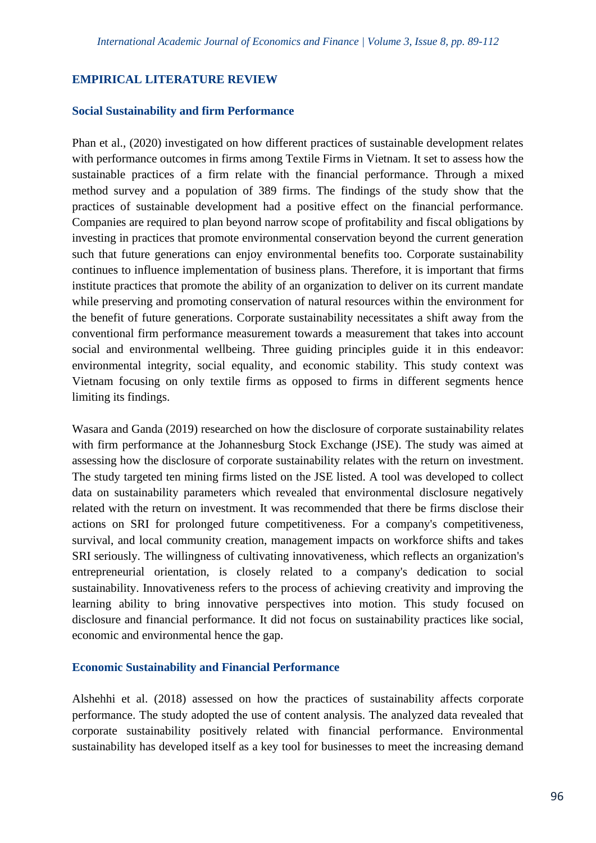# **EMPIRICAL LITERATURE REVIEW**

#### **Social Sustainability and firm Performance**

Phan et al., (2020) investigated on how different practices of sustainable development relates with performance outcomes in firms among Textile Firms in Vietnam. It set to assess how the sustainable practices of a firm relate with the financial performance. Through a mixed method survey and a population of 389 firms. The findings of the study show that the practices of sustainable development had a positive effect on the financial performance. Companies are required to plan beyond narrow scope of profitability and fiscal obligations by investing in practices that promote environmental conservation beyond the current generation such that future generations can enjoy environmental benefits too. Corporate sustainability continues to influence implementation of business plans. Therefore, it is important that firms institute practices that promote the ability of an organization to deliver on its current mandate while preserving and promoting conservation of natural resources within the environment for the benefit of future generations. Corporate sustainability necessitates a shift away from the conventional firm performance measurement towards a measurement that takes into account social and environmental wellbeing. Three guiding principles guide it in this endeavor: environmental integrity, social equality, and economic stability. This study context was Vietnam focusing on only textile firms as opposed to firms in different segments hence limiting its findings.

Wasara and Ganda (2019) researched on how the disclosure of corporate sustainability relates with firm performance at the Johannesburg Stock Exchange (JSE). The study was aimed at assessing how the disclosure of corporate sustainability relates with the return on investment. The study targeted ten mining firms listed on the JSE listed. A tool was developed to collect data on sustainability parameters which revealed that environmental disclosure negatively related with the return on investment. It was recommended that there be firms disclose their actions on SRI for prolonged future competitiveness. For a company's competitiveness, survival, and local community creation, management impacts on workforce shifts and takes SRI seriously. The willingness of cultivating innovativeness, which reflects an organization's entrepreneurial orientation, is closely related to a company's dedication to social sustainability. Innovativeness refers to the process of achieving creativity and improving the learning ability to bring innovative perspectives into motion. This study focused on disclosure and financial performance. It did not focus on sustainability practices like social, economic and environmental hence the gap.

#### **Economic Sustainability and Financial Performance**

Alshehhi et al. (2018) assessed on how the practices of sustainability affects corporate performance. The study adopted the use of content analysis. The analyzed data revealed that corporate sustainability positively related with financial performance. Environmental sustainability has developed itself as a key tool for businesses to meet the increasing demand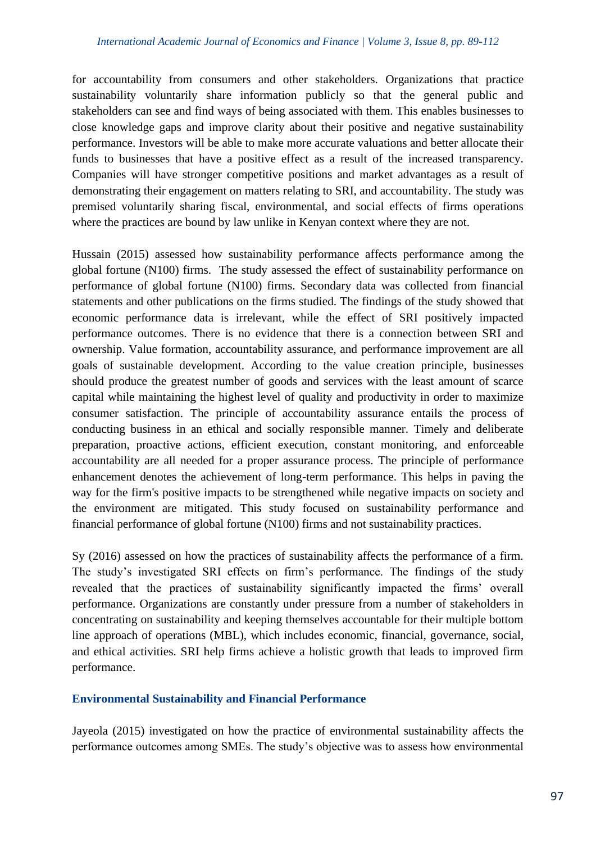for accountability from consumers and other stakeholders. Organizations that practice sustainability voluntarily share information publicly so that the general public and stakeholders can see and find ways of being associated with them. This enables businesses to close knowledge gaps and improve clarity about their positive and negative sustainability performance. Investors will be able to make more accurate valuations and better allocate their funds to businesses that have a positive effect as a result of the increased transparency. Companies will have stronger competitive positions and market advantages as a result of demonstrating their engagement on matters relating to SRI, and accountability. The study was premised voluntarily sharing fiscal, environmental, and social effects of firms operations where the practices are bound by law unlike in Kenyan context where they are not.

Hussain (2015) assessed how sustainability performance affects performance among the global fortune (N100) firms. The study assessed the effect of sustainability performance on performance of global fortune (N100) firms. Secondary data was collected from financial statements and other publications on the firms studied. The findings of the study showed that economic performance data is irrelevant, while the effect of SRI positively impacted performance outcomes. There is no evidence that there is a connection between SRI and ownership. Value formation, accountability assurance, and performance improvement are all goals of sustainable development. According to the value creation principle, businesses should produce the greatest number of goods and services with the least amount of scarce capital while maintaining the highest level of quality and productivity in order to maximize consumer satisfaction. The principle of accountability assurance entails the process of conducting business in an ethical and socially responsible manner. Timely and deliberate preparation, proactive actions, efficient execution, constant monitoring, and enforceable accountability are all needed for a proper assurance process. The principle of performance enhancement denotes the achievement of long-term performance. This helps in paving the way for the firm's positive impacts to be strengthened while negative impacts on society and the environment are mitigated. This study focused on sustainability performance and financial performance of global fortune (N100) firms and not sustainability practices.

Sy (2016) assessed on how the practices of sustainability affects the performance of a firm. The study's investigated SRI effects on firm's performance. The findings of the study revealed that the practices of sustainability significantly impacted the firms' overall performance. Organizations are constantly under pressure from a number of stakeholders in concentrating on sustainability and keeping themselves accountable for their multiple bottom line approach of operations (MBL), which includes economic, financial, governance, social, and ethical activities. SRI help firms achieve a holistic growth that leads to improved firm performance.

# **Environmental Sustainability and Financial Performance**

Jayeola (2015) investigated on how the practice of environmental sustainability affects the performance outcomes among SMEs. The study's objective was to assess how environmental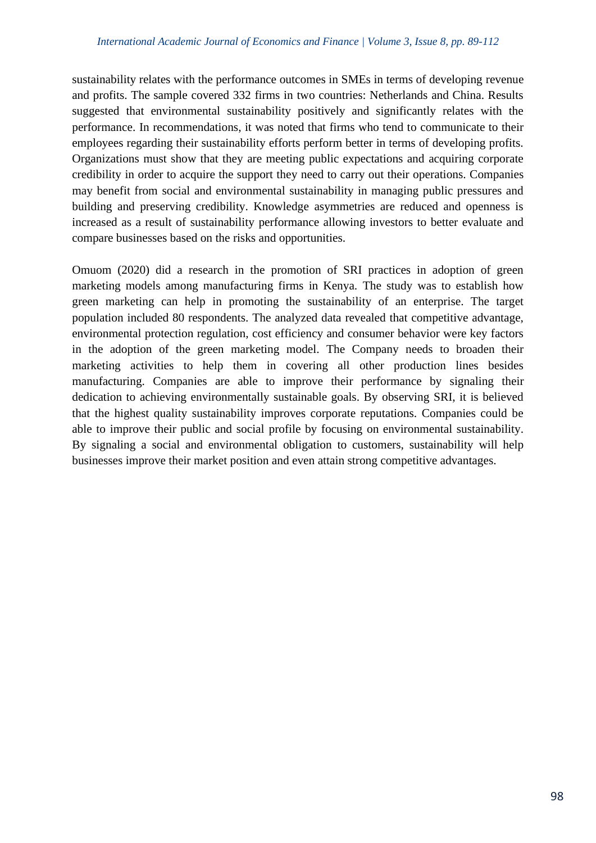sustainability relates with the performance outcomes in SMEs in terms of developing revenue and profits. The sample covered 332 firms in two countries: Netherlands and China. Results suggested that environmental sustainability positively and significantly relates with the performance. In recommendations, it was noted that firms who tend to communicate to their employees regarding their sustainability efforts perform better in terms of developing profits. Organizations must show that they are meeting public expectations and acquiring corporate credibility in order to acquire the support they need to carry out their operations. Companies may benefit from social and environmental sustainability in managing public pressures and building and preserving credibility. Knowledge asymmetries are reduced and openness is increased as a result of sustainability performance allowing investors to better evaluate and compare businesses based on the risks and opportunities.

Omuom (2020) did a research in the promotion of SRI practices in adoption of green marketing models among manufacturing firms in Kenya. The study was to establish how green marketing can help in promoting the sustainability of an enterprise. The target population included 80 respondents. The analyzed data revealed that competitive advantage, environmental protection regulation, cost efficiency and consumer behavior were key factors in the adoption of the green marketing model. The Company needs to broaden their marketing activities to help them in covering all other production lines besides manufacturing. Companies are able to improve their performance by signaling their dedication to achieving environmentally sustainable goals. By observing SRI, it is believed that the highest quality sustainability improves corporate reputations. Companies could be able to improve their public and social profile by focusing on environmental sustainability. By signaling a social and environmental obligation to customers, sustainability will help businesses improve their market position and even attain strong competitive advantages.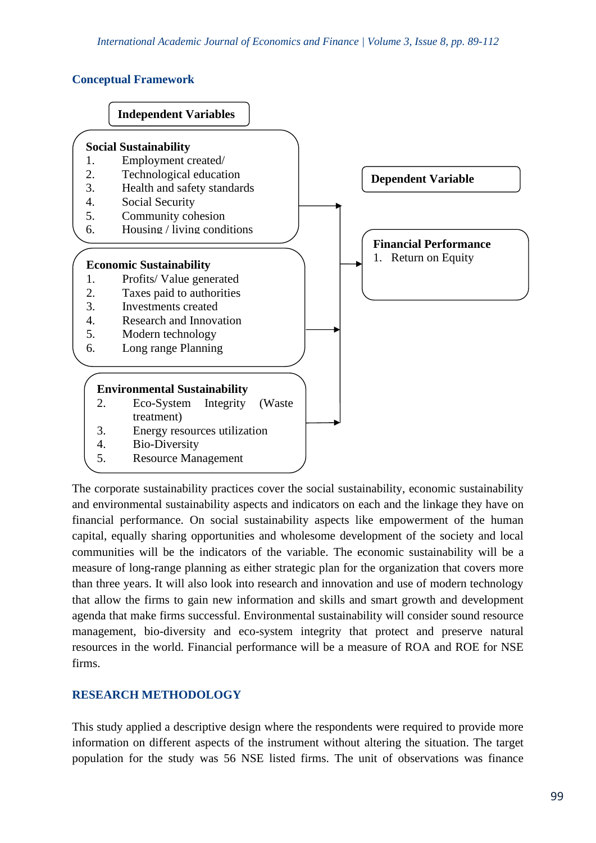#### **Conceptual Framework**



The corporate sustainability practices cover the social sustainability, economic sustainability and environmental sustainability aspects and indicators on each and the linkage they have on financial performance. On social sustainability aspects like empowerment of the human capital, equally sharing opportunities and wholesome development of the society and local communities will be the indicators of the variable. The economic sustainability will be a measure of long-range planning as either strategic plan for the organization that covers more than three years. It will also look into research and innovation and use of modern technology that allow the firms to gain new information and skills and smart growth and development agenda that make firms successful. Environmental sustainability will consider sound resource management, bio-diversity and eco-system integrity that protect and preserve natural resources in the world. Financial performance will be a measure of ROA and ROE for NSE firms.

# **RESEARCH METHODOLOGY**

This study applied a descriptive design where the respondents were required to provide more information on different aspects of the instrument without altering the situation. The target population for the study was 56 NSE listed firms. The unit of observations was finance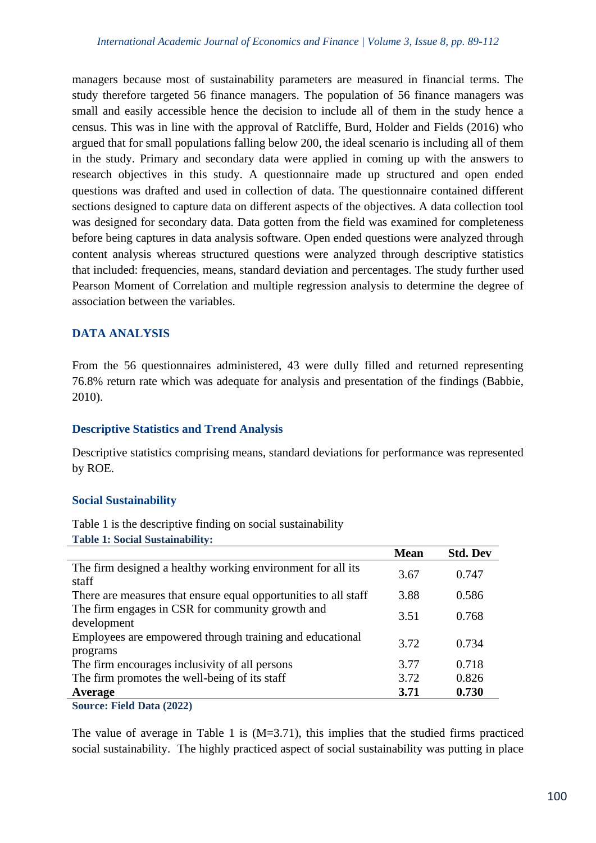managers because most of sustainability parameters are measured in financial terms. The study therefore targeted 56 finance managers. The population of 56 finance managers was small and easily accessible hence the decision to include all of them in the study hence a census. This was in line with the approval of Ratcliffe, Burd, Holder and Fields (2016) who argued that for small populations falling below 200, the ideal scenario is including all of them in the study. Primary and secondary data were applied in coming up with the answers to research objectives in this study. A questionnaire made up structured and open ended questions was drafted and used in collection of data. The questionnaire contained different sections designed to capture data on different aspects of the objectives. A data collection tool was designed for secondary data. Data gotten from the field was examined for completeness before being captures in data analysis software. Open ended questions were analyzed through content analysis whereas structured questions were analyzed through descriptive statistics that included: frequencies, means, standard deviation and percentages. The study further used Pearson Moment of Correlation and multiple regression analysis to determine the degree of association between the variables.

# **DATA ANALYSIS**

From the 56 questionnaires administered, 43 were dully filled and returned representing 76.8% return rate which was adequate for analysis and presentation of the findings (Babbie, 2010).

# **Descriptive Statistics and Trend Analysis**

Descriptive statistics comprising means, standard deviations for performance was represented by ROE.

# **Social Sustainability**

Table 1 is the descriptive finding on social sustainability **Table 1: Social Sustainability:** 

|                                                                      | <b>Mean</b> | <b>Std. Dev</b> |
|----------------------------------------------------------------------|-------------|-----------------|
| The firm designed a healthy working environment for all its<br>staff | 3.67        | 0.747           |
| There are measures that ensure equal opportunities to all staff      | 3.88        | 0.586           |
| The firm engages in CSR for community growth and<br>development      | 3.51        | 0.768           |
| Employees are empowered through training and educational<br>programs | 3.72        | 0.734           |
| The firm encourages inclusivity of all persons                       | 3.77        | 0.718           |
| The firm promotes the well-being of its staff                        | 3.72        | 0.826           |
| Average                                                              | 3.71        | 0.730           |
| <b>Source: Field Data (2022)</b>                                     |             |                 |

The value of average in Table 1 is  $(M=3.71)$ , this implies that the studied firms practiced social sustainability. The highly practiced aspect of social sustainability was putting in place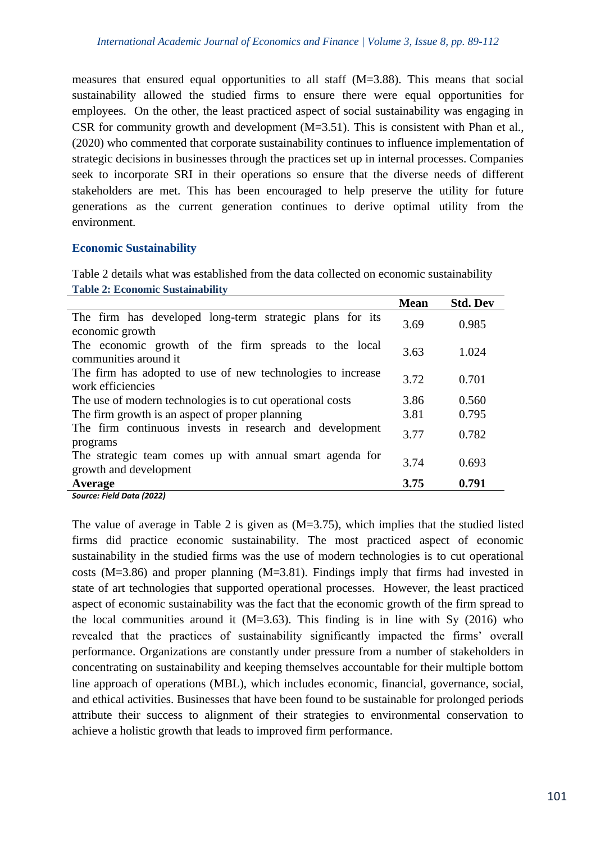measures that ensured equal opportunities to all staff (M=3.88). This means that social sustainability allowed the studied firms to ensure there were equal opportunities for employees. On the other, the least practiced aspect of social sustainability was engaging in CSR for community growth and development (M=3.51). This is consistent with Phan et al., (2020) who commented that corporate sustainability continues to influence implementation of strategic decisions in businesses through the practices set up in internal processes. Companies seek to incorporate SRI in their operations so ensure that the diverse needs of different stakeholders are met. This has been encouraged to help preserve the utility for future generations as the current generation continues to derive optimal utility from the environment.

# **Economic Sustainability**

|                                         | Table 2 details what was established from the data collected on economic sustainability |
|-----------------------------------------|-----------------------------------------------------------------------------------------|
| <b>Table 2: Economic Sustainability</b> |                                                                                         |

|                                                                                  | <b>Mean</b> | <b>Std. Dev</b> |
|----------------------------------------------------------------------------------|-------------|-----------------|
| The firm has developed long-term strategic plans for its                         | 3.69        | 0.985           |
| economic growth                                                                  |             |                 |
| The economic growth of the firm spreads to the local<br>communities around it    | 3.63        | 1.024           |
|                                                                                  |             |                 |
| The firm has adopted to use of new technologies to increase<br>work efficiencies | 3.72        | 0.701           |
|                                                                                  |             |                 |
| The use of modern technologies is to cut operational costs                       | 3.86        | 0.560           |
| The firm growth is an aspect of proper planning                                  | 3.81        | 0.795           |
| The firm continuous invests in research and development<br>programs              | 3.77        | 0.782           |
|                                                                                  |             |                 |
| The strategic team comes up with annual smart agenda for                         | 3.74        | 0.693           |
| growth and development                                                           |             |                 |
| Average                                                                          | 3.75        | 0.791           |
| Source: Field Data (2022)                                                        |             |                 |

The value of average in Table 2 is given as (M=3.75), which implies that the studied listed firms did practice economic sustainability. The most practiced aspect of economic sustainability in the studied firms was the use of modern technologies is to cut operational costs (M=3.86) and proper planning (M=3.81). Findings imply that firms had invested in state of art technologies that supported operational processes. However, the least practiced aspect of economic sustainability was the fact that the economic growth of the firm spread to the local communities around it  $(M=3.63)$ . This finding is in line with Sy (2016) who revealed that the practices of sustainability significantly impacted the firms' overall performance. Organizations are constantly under pressure from a number of stakeholders in concentrating on sustainability and keeping themselves accountable for their multiple bottom line approach of operations (MBL), which includes economic, financial, governance, social, and ethical activities. Businesses that have been found to be sustainable for prolonged periods attribute their success to alignment of their strategies to environmental conservation to achieve a holistic growth that leads to improved firm performance.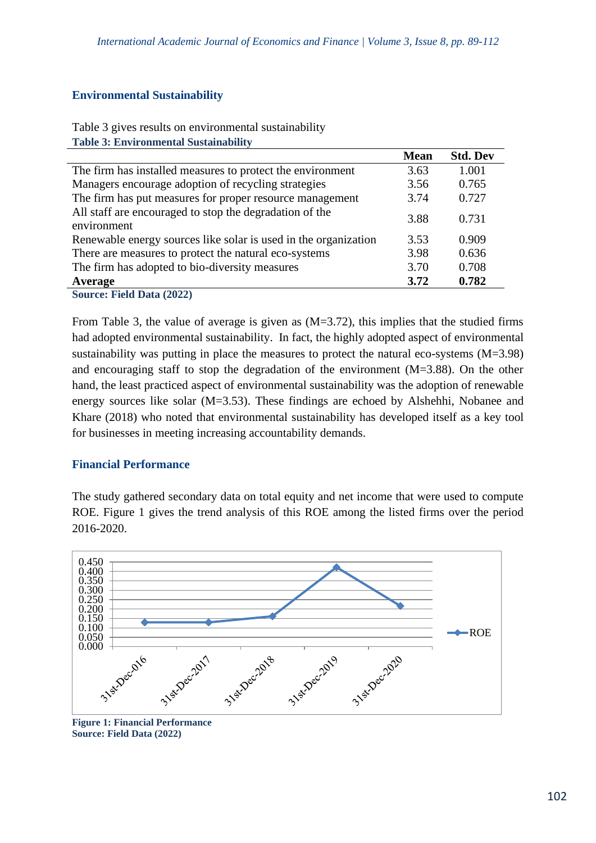#### **Environmental Sustainability**

Table 3 gives results on environmental sustainability **Table 3: Environmental Sustainability** 

|                                                                        | <b>Mean</b> | <b>Std. Dev</b> |
|------------------------------------------------------------------------|-------------|-----------------|
| The firm has installed measures to protect the environment             | 3.63        | 1.001           |
| Managers encourage adoption of recycling strategies                    | 3.56        | 0.765           |
| The firm has put measures for proper resource management               | 3.74        | 0.727           |
| All staff are encouraged to stop the degradation of the<br>environment | 3.88        | 0.731           |
| Renewable energy sources like solar is used in the organization        | 3.53        | 0.909           |
| There are measures to protect the natural eco-systems                  | 3.98        | 0.636           |
| The firm has adopted to bio-diversity measures                         | 3.70        | 0.708           |
| Average                                                                | 3.72        | 0.782           |
| <b>Source: Field Data (2022)</b>                                       |             |                 |

From Table 3, the value of average is given as  $(M=3.72)$ , this implies that the studied firms had adopted environmental sustainability. In fact, the highly adopted aspect of environmental sustainability was putting in place the measures to protect the natural eco-systems (M=3.98) and encouraging staff to stop the degradation of the environment (M=3.88). On the other hand, the least practiced aspect of environmental sustainability was the adoption of renewable energy sources like solar (M=3.53). These findings are echoed by Alshehhi, Nobanee and Khare (2018) who noted that environmental sustainability has developed itself as a key tool for businesses in meeting increasing accountability demands.

# **Financial Performance**

The study gathered secondary data on total equity and net income that were used to compute ROE. Figure 1 gives the trend analysis of this ROE among the listed firms over the period 2016-2020.



**Figure 1: Financial Performance Source: Field Data (2022)**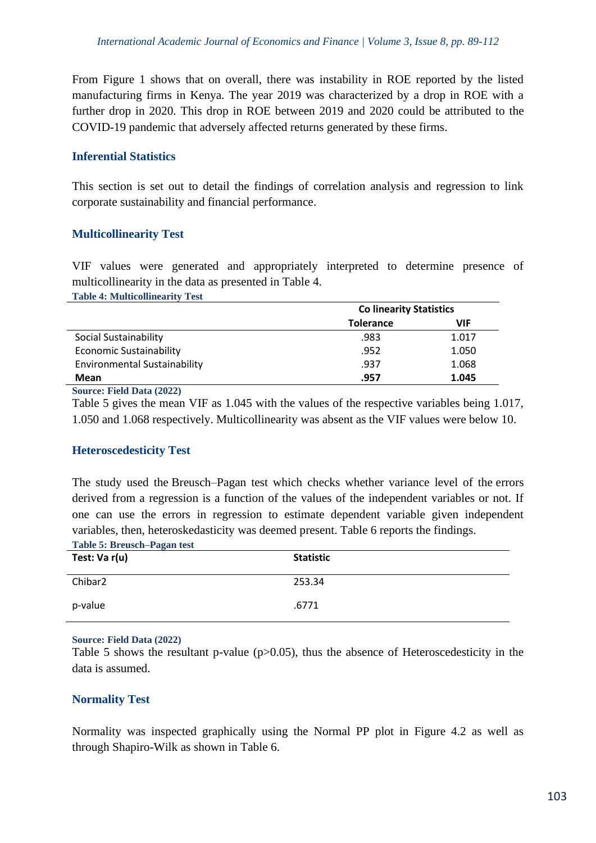From Figure 1 shows that on overall, there was instability in ROE reported by the listed manufacturing firms in Kenya. The year 2019 was characterized by a drop in ROE with a further drop in 2020. This drop in ROE between 2019 and 2020 could be attributed to the COVID-19 pandemic that adversely affected returns generated by these firms.

# **Inferential Statistics**

This section is set out to detail the findings of correlation analysis and regression to link corporate sustainability and financial performance.

# **Multicollinearity Test**

VIF values were generated and appropriately interpreted to determine presence of multicollinearity in the data as presented in Table 4. **Table 4: Multicollinearity Test**

|                                     | <b>Co linearity Statistics</b> |       |  |
|-------------------------------------|--------------------------------|-------|--|
|                                     | <b>Tolerance</b>               | VIF   |  |
| Social Sustainability               | .983                           | 1.017 |  |
| <b>Economic Sustainability</b>      | .952                           | 1.050 |  |
| <b>Environmental Sustainability</b> | .937                           | 1.068 |  |
| Mean                                | .957                           | 1.045 |  |

**Source: Field Data (2022)**

Table 5 gives the mean VIF as 1.045 with the values of the respective variables being 1.017, 1.050 and 1.068 respectively. Multicollinearity was absent as the VIF values were below 10.

#### **Heteroscedesticity Test**

The study used the Breusch–Pagan test which checks whether variance level of the errors derived from a regression is a function of the values of the independent variables or not. If one can use the errors in regression to estimate dependent variable given independent variables, then, heteroskedasticity was deemed present. Table 6 reports the findings. **Table 5: Breusch–Pagan test**

| Table 5: Dreusch-Fagan test<br>Test: Va r(u) | <b>Statistic</b> |
|----------------------------------------------|------------------|
| Chibar <sub>2</sub>                          | 253.34           |
| p-value                                      | .6771            |

#### **Source: Field Data (2022)**

Table 5 shows the resultant p-value ( $p > 0.05$ ), thus the absence of Heteroscedesticity in the data is assumed.

# **Normality Test**

Normality was inspected graphically using the Normal PP plot in Figure 4.2 as well as through Shapiro-Wilk as shown in Table 6.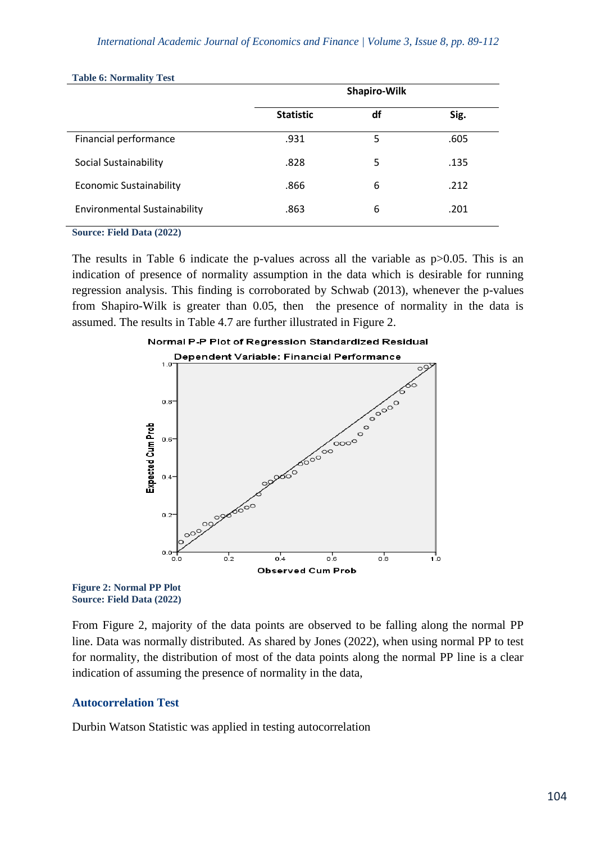| Table 0. INTHRAIN, Test             |                  | <b>Shapiro-Wilk</b> |      |
|-------------------------------------|------------------|---------------------|------|
|                                     | <b>Statistic</b> | df                  | Sig. |
| Financial performance               | .931             | 5                   | .605 |
| Social Sustainability               | .828             | 5                   | .135 |
| <b>Economic Sustainability</b>      | .866             | 6                   | .212 |
| <b>Environmental Sustainability</b> | .863             | 6                   | .201 |
| <b>Source: Field Data (2022)</b>    |                  |                     |      |

#### **Table 6: Normality Test**

The results in Table 6 indicate the p-values across all the variable as  $p > 0.05$ . This is an indication of presence of normality assumption in the data which is desirable for running regression analysis. This finding is corroborated by Schwab (2013), whenever the p-values from Shapiro-Wilk is greater than 0.05, then the presence of normality in the data is assumed. The results in Table 4.7 are further illustrated in Figure 2.





**Figure 2: Normal PP Plot Source: Field Data (2022)**

From Figure 2, majority of the data points are observed to be falling along the normal PP line. Data was normally distributed. As shared by Jones (2022), when using normal PP to test for normality, the distribution of most of the data points along the normal PP line is a clear indication of assuming the presence of normality in the data,

#### **Autocorrelation Test**

Durbin Watson Statistic was applied in testing autocorrelation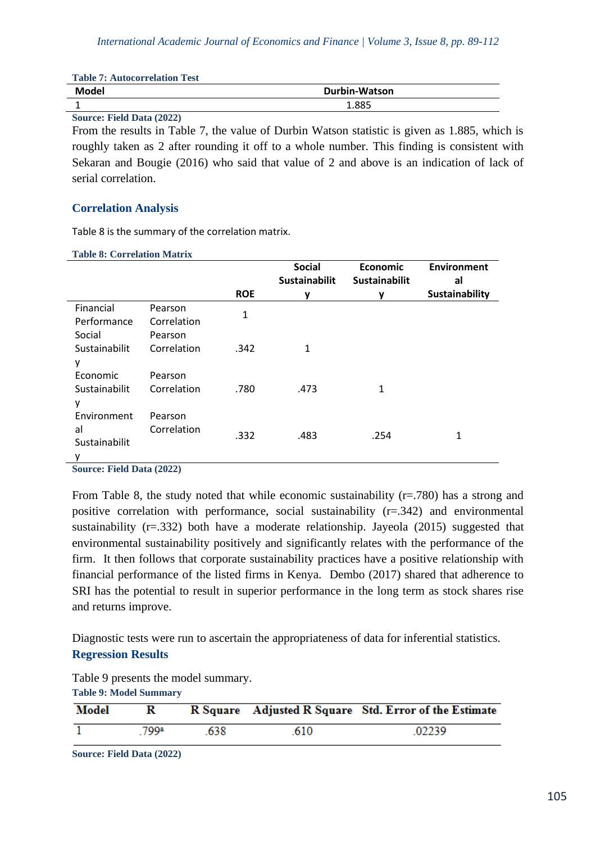| <b>Table 7: Autocorrelation Test</b> |               |
|--------------------------------------|---------------|
| Model                                | Durbin-Watson |
|                                      | 1.885         |

**Source: Field Data (2022)**

From the results in Table 7, the value of Durbin Watson statistic is given as 1.885, which is roughly taken as 2 after rounding it off to a whole number. This finding is consistent with Sekaran and Bougie (2016) who said that value of 2 and above is an indication of lack of serial correlation.

#### **Correlation Analysis**

Table 8 is the summary of the correlation matrix.

**Table 8: Correlation Matrix** 

|               |                                                                          |                      | <b>Social</b><br><b>Sustainabilit</b> | <b>Economic</b><br><b>Sustainabilit</b> | <b>Environment</b><br>al |
|---------------|--------------------------------------------------------------------------|----------------------|---------------------------------------|-----------------------------------------|--------------------------|
|               |                                                                          | <b>ROE</b>           | ۷                                     | ۷                                       | Sustainability           |
| Financial     | Pearson                                                                  |                      |                                       |                                         |                          |
| Performance   | Correlation                                                              |                      |                                       |                                         |                          |
| Social        | Pearson                                                                  |                      |                                       |                                         |                          |
| Sustainabilit | Correlation                                                              | .342                 | 1                                     |                                         |                          |
| y             |                                                                          |                      |                                       |                                         |                          |
| Economic      | Pearson                                                                  |                      |                                       |                                         |                          |
| Sustainabilit | Correlation                                                              | .780                 | .473                                  | 1                                       |                          |
| y             |                                                                          |                      |                                       |                                         |                          |
| Environment   | Pearson                                                                  |                      |                                       |                                         |                          |
| al            | Correlation                                                              |                      |                                       |                                         |                          |
| Sustainabilit |                                                                          |                      |                                       |                                         |                          |
|               |                                                                          |                      |                                       |                                         |                          |
| $\sim$        | $\mathbf{m}$ , $\mathbf{m}$ , $\mathbf{m}$ , $\mathbf{m}$ , $\mathbf{m}$ | $\mathbf{1}$<br>.332 | .483                                  | .254                                    | 1                        |

**Source: Field Data (2022)**

From Table 8, the study noted that while economic sustainability (r=.780) has a strong and positive correlation with performance, social sustainability (r=.342) and environmental sustainability (r=.332) both have a moderate relationship. Jayeola (2015) suggested that environmental sustainability positively and significantly relates with the performance of the firm. It then follows that corporate sustainability practices have a positive relationship with financial performance of the listed firms in Kenya. Dembo (2017) shared that adherence to SRI has the potential to result in superior performance in the long term as stock shares rise and returns improve.

Diagnostic tests were run to ascertain the appropriateness of data for inferential statistics. **Regression Results**

Table 9 presents the model summary. **Table 9: Model Summary**

| Model |      |     |     | R Square Adjusted R Square Std. Error of the Estimate |
|-------|------|-----|-----|-------------------------------------------------------|
|       | 799а | 638 | 610 | .02239                                                |

**Source: Field Data (2022)**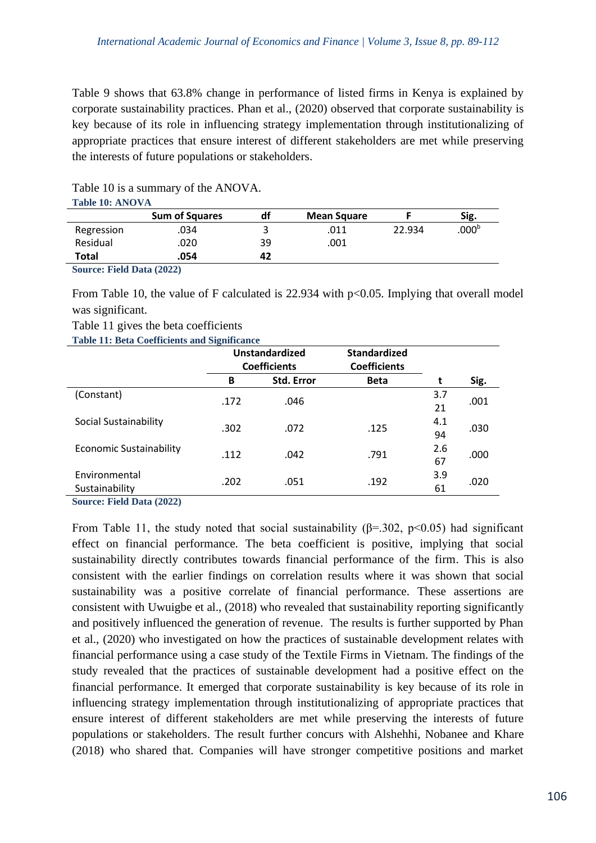Table 9 shows that 63.8% change in performance of listed firms in Kenya is explained by corporate sustainability practices. Phan et al., (2020) observed that corporate sustainability is key because of its role in influencing strategy implementation through institutionalizing of appropriate practices that ensure interest of different stakeholders are met while preserving the interests of future populations or stakeholders.

| <b>Table 10: ANOVA</b> |                       |    |                    |        |                   |
|------------------------|-----------------------|----|--------------------|--------|-------------------|
|                        | <b>Sum of Squares</b> | df | <b>Mean Square</b> |        | Sig.              |
| Regression             | .034                  |    | .011               | 22.934 | .000 <sup>b</sup> |
| Residual               | .020                  | 39 | .001               |        |                   |
| Total                  | .054                  | 42 |                    |        |                   |
| _____<br>______        | .                     |    |                    |        |                   |

Table 10 is a summary of the ANOVA.

**Source: Field Data (2022)**

From Table 10, the value of F calculated is 22.934 with p<0.05. Implying that overall model was significant.

Table 11 gives the beta coefficients

**Table 11: Beta Coefficients and Significance** 

|                                 | <b>Unstandardized</b><br><b>Coefficients</b> |            | <b>Standardized</b><br><b>Coefficients</b> |           |      |
|---------------------------------|----------------------------------------------|------------|--------------------------------------------|-----------|------|
|                                 | В                                            | Std. Error | <b>Beta</b>                                |           | Sig. |
| (Constant)                      | .172                                         | .046       |                                            | 3.7<br>21 | .001 |
| Social Sustainability           | .302                                         | .072       | .125                                       | 4.1<br>94 | .030 |
| <b>Economic Sustainability</b>  | .112                                         | .042       | .791                                       | 2.6<br>67 | .000 |
| Environmental<br>Sustainability | .202                                         | .051       | .192                                       | 3.9<br>61 | .020 |

**Source: Field Data (2022)**

From Table 11, the study noted that social sustainability ( $\beta$ =.302, p<0.05) had significant effect on financial performance. The beta coefficient is positive, implying that social sustainability directly contributes towards financial performance of the firm. This is also consistent with the earlier findings on correlation results where it was shown that social sustainability was a positive correlate of financial performance. These assertions are consistent with Uwuigbe et al., (2018) who revealed that sustainability reporting significantly and positively influenced the generation of revenue. The results is further supported by Phan et al., (2020) who investigated on how the practices of sustainable development relates with financial performance using a case study of the Textile Firms in Vietnam. The findings of the study revealed that the practices of sustainable development had a positive effect on the financial performance. It emerged that corporate sustainability is key because of its role in influencing strategy implementation through institutionalizing of appropriate practices that ensure interest of different stakeholders are met while preserving the interests of future populations or stakeholders. The result further concurs with Alshehhi, Nobanee and Khare (2018) who shared that. Companies will have stronger competitive positions and market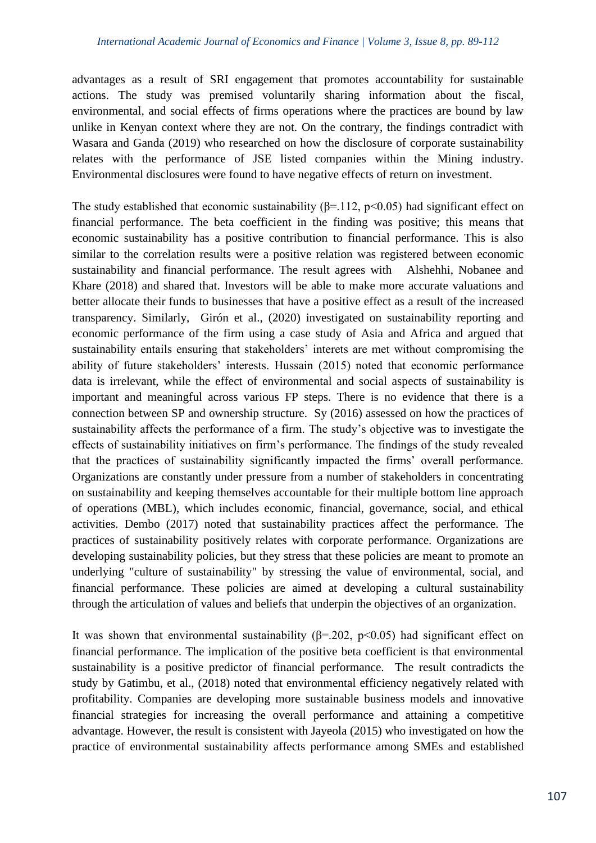advantages as a result of SRI engagement that promotes accountability for sustainable actions. The study was premised voluntarily sharing information about the fiscal, environmental, and social effects of firms operations where the practices are bound by law unlike in Kenyan context where they are not. On the contrary, the findings contradict with Wasara and Ganda (2019) who researched on how the disclosure of corporate sustainability relates with the performance of JSE listed companies within the Mining industry. Environmental disclosures were found to have negative effects of return on investment.

The study established that economic sustainability ( $\beta$ =.112, p<0.05) had significant effect on financial performance. The beta coefficient in the finding was positive; this means that economic sustainability has a positive contribution to financial performance. This is also similar to the correlation results were a positive relation was registered between economic sustainability and financial performance. The result agrees with Alshehhi, Nobanee and Khare (2018) and shared that. Investors will be able to make more accurate valuations and better allocate their funds to businesses that have a positive effect as a result of the increased transparency. Similarly, Girón et al., (2020) investigated on sustainability reporting and economic performance of the firm using a case study of Asia and Africa and argued that sustainability entails ensuring that stakeholders' interets are met without compromising the ability of future stakeholders' interests. Hussain (2015) noted that economic performance data is irrelevant, while the effect of environmental and social aspects of sustainability is important and meaningful across various FP steps. There is no evidence that there is a connection between SP and ownership structure. Sy (2016) assessed on how the practices of sustainability affects the performance of a firm. The study's objective was to investigate the effects of sustainability initiatives on firm's performance. The findings of the study revealed that the practices of sustainability significantly impacted the firms' overall performance. Organizations are constantly under pressure from a number of stakeholders in concentrating on sustainability and keeping themselves accountable for their multiple bottom line approach of operations (MBL), which includes economic, financial, governance, social, and ethical activities. Dembo (2017) noted that sustainability practices affect the performance. The practices of sustainability positively relates with corporate performance. Organizations are developing sustainability policies, but they stress that these policies are meant to promote an underlying "culture of sustainability" by stressing the value of environmental, social, and financial performance. These policies are aimed at developing a cultural sustainability through the articulation of values and beliefs that underpin the objectives of an organization.

It was shown that environmental sustainability ( $\beta$ =.202, p<0.05) had significant effect on financial performance. The implication of the positive beta coefficient is that environmental sustainability is a positive predictor of financial performance. The result contradicts the study by Gatimbu, et al., (2018) noted that environmental efficiency negatively related with profitability. Companies are developing more sustainable business models and innovative financial strategies for increasing the overall performance and attaining a competitive advantage. However, the result is consistent with Jayeola (2015) who investigated on how the practice of environmental sustainability affects performance among SMEs and established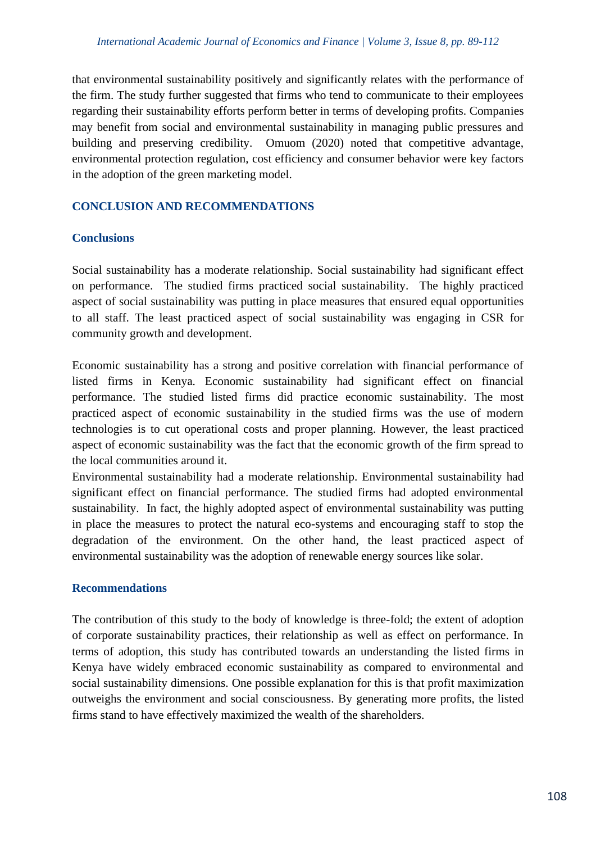that environmental sustainability positively and significantly relates with the performance of the firm. The study further suggested that firms who tend to communicate to their employees regarding their sustainability efforts perform better in terms of developing profits. Companies may benefit from social and environmental sustainability in managing public pressures and building and preserving credibility. Omuom (2020) noted that competitive advantage, environmental protection regulation, cost efficiency and consumer behavior were key factors in the adoption of the green marketing model.

#### **CONCLUSION AND RECOMMENDATIONS**

#### **Conclusions**

Social sustainability has a moderate relationship. Social sustainability had significant effect on performance. The studied firms practiced social sustainability. The highly practiced aspect of social sustainability was putting in place measures that ensured equal opportunities to all staff. The least practiced aspect of social sustainability was engaging in CSR for community growth and development.

Economic sustainability has a strong and positive correlation with financial performance of listed firms in Kenya. Economic sustainability had significant effect on financial performance. The studied listed firms did practice economic sustainability. The most practiced aspect of economic sustainability in the studied firms was the use of modern technologies is to cut operational costs and proper planning. However, the least practiced aspect of economic sustainability was the fact that the economic growth of the firm spread to the local communities around it.

Environmental sustainability had a moderate relationship. Environmental sustainability had significant effect on financial performance. The studied firms had adopted environmental sustainability. In fact, the highly adopted aspect of environmental sustainability was putting in place the measures to protect the natural eco-systems and encouraging staff to stop the degradation of the environment. On the other hand, the least practiced aspect of environmental sustainability was the adoption of renewable energy sources like solar.

#### **Recommendations**

The contribution of this study to the body of knowledge is three-fold; the extent of adoption of corporate sustainability practices, their relationship as well as effect on performance. In terms of adoption, this study has contributed towards an understanding the listed firms in Kenya have widely embraced economic sustainability as compared to environmental and social sustainability dimensions. One possible explanation for this is that profit maximization outweighs the environment and social consciousness. By generating more profits, the listed firms stand to have effectively maximized the wealth of the shareholders.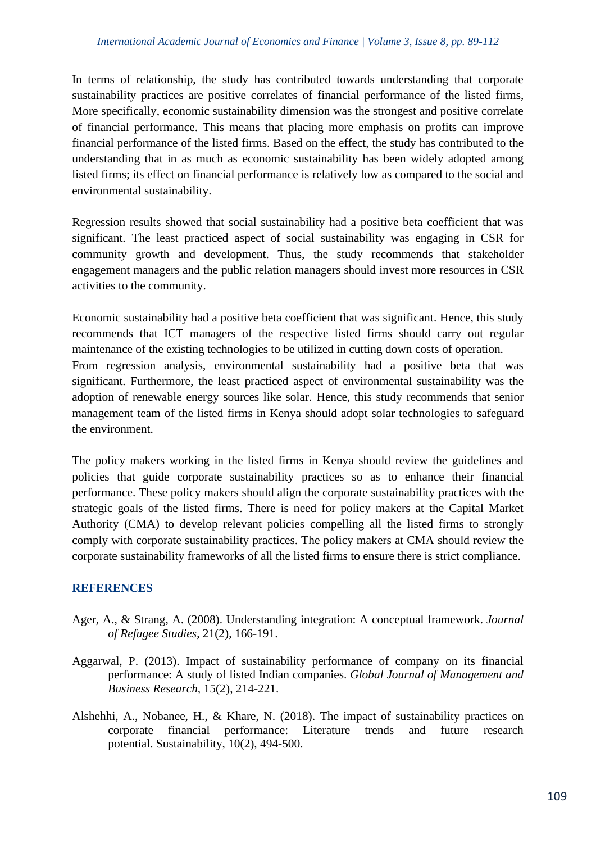In terms of relationship, the study has contributed towards understanding that corporate sustainability practices are positive correlates of financial performance of the listed firms, More specifically, economic sustainability dimension was the strongest and positive correlate of financial performance. This means that placing more emphasis on profits can improve financial performance of the listed firms. Based on the effect, the study has contributed to the understanding that in as much as economic sustainability has been widely adopted among listed firms; its effect on financial performance is relatively low as compared to the social and environmental sustainability.

Regression results showed that social sustainability had a positive beta coefficient that was significant. The least practiced aspect of social sustainability was engaging in CSR for community growth and development. Thus, the study recommends that stakeholder engagement managers and the public relation managers should invest more resources in CSR activities to the community.

Economic sustainability had a positive beta coefficient that was significant. Hence, this study recommends that ICT managers of the respective listed firms should carry out regular maintenance of the existing technologies to be utilized in cutting down costs of operation. From regression analysis, environmental sustainability had a positive beta that was significant. Furthermore, the least practiced aspect of environmental sustainability was the adoption of renewable energy sources like solar. Hence, this study recommends that senior management team of the listed firms in Kenya should adopt solar technologies to safeguard the environment.

The policy makers working in the listed firms in Kenya should review the guidelines and policies that guide corporate sustainability practices so as to enhance their financial performance. These policy makers should align the corporate sustainability practices with the strategic goals of the listed firms. There is need for policy makers at the Capital Market Authority (CMA) to develop relevant policies compelling all the listed firms to strongly comply with corporate sustainability practices. The policy makers at CMA should review the corporate sustainability frameworks of all the listed firms to ensure there is strict compliance.

# **REFERENCES**

- Ager, A., & Strang, A. (2008). Understanding integration: A conceptual framework. *Journal of Refugee Studies*, 21(2), 166-191.
- Aggarwal, P. (2013). Impact of sustainability performance of company on its financial performance: A study of listed Indian companies. *Global Journal of Management and Business Research,* 15(2), 214-221.
- Alshehhi, A., Nobanee, H., & Khare, N. (2018). The impact of sustainability practices on corporate financial performance: Literature trends and future research potential. Sustainability, 10(2), 494-500.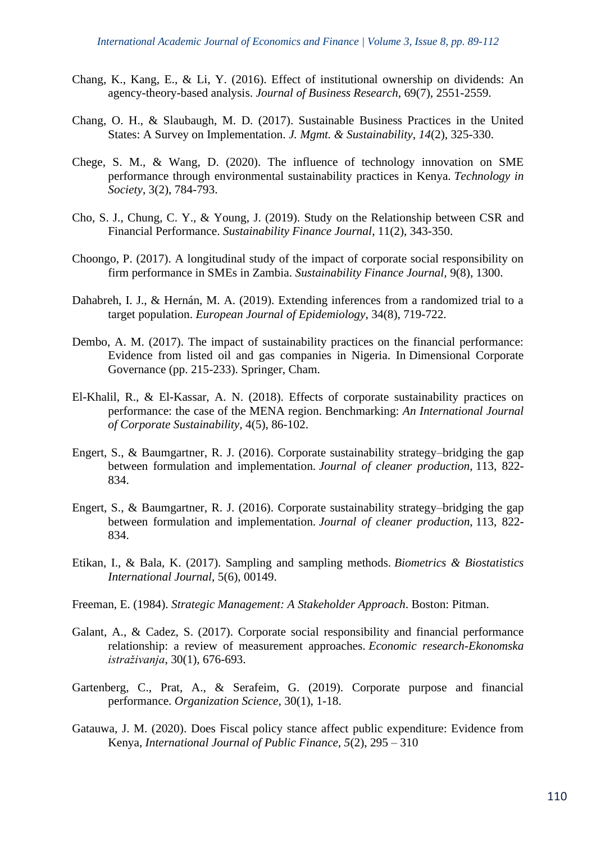- Chang, K., Kang, E., & Li, Y. (2016). Effect of institutional ownership on dividends: An agency-theory-based analysis. *Journal of Business Research*, 69(7), 2551-2559.
- Chang, O. H., & Slaubaugh, M. D. (2017). Sustainable Business Practices in the United States: A Survey on Implementation. *J. Mgmt. & Sustainability*, *14*(2), 325-330.
- Chege, S. M., & Wang, D. (2020). The influence of technology innovation on SME performance through environmental sustainability practices in Kenya. *Technology in Society*, 3(2), 784-793.
- Cho, S. J., Chung, C. Y., & Young, J. (2019). Study on the Relationship between CSR and Financial Performance. *Sustainability Finance Journal*, 11(2), 343-350.
- Choongo, P. (2017). A longitudinal study of the impact of corporate social responsibility on firm performance in SMEs in Zambia. *Sustainability Finance Journal,* 9(8), 1300.
- Dahabreh, I. J., & Hernán, M. A. (2019). Extending inferences from a randomized trial to a target population. *European Journal of Epidemiology*, 34(8), 719-722.
- Dembo, A. M. (2017). The impact of sustainability practices on the financial performance: Evidence from listed oil and gas companies in Nigeria. In Dimensional Corporate Governance (pp. 215-233). Springer, Cham.
- El-Khalil, R., & El-Kassar, A. N. (2018). Effects of corporate sustainability practices on performance: the case of the MENA region. Benchmarking: *An International Journal of Corporate Sustainability,* 4(5), 86-102.
- Engert, S., & Baumgartner, R. J. (2016). Corporate sustainability strategy–bridging the gap between formulation and implementation. *Journal of cleaner production*, 113, 822- 834.
- Engert, S., & Baumgartner, R. J. (2016). Corporate sustainability strategy–bridging the gap between formulation and implementation. *Journal of cleaner production*, 113, 822- 834.
- Etikan, I., & Bala, K. (2017). Sampling and sampling methods. *Biometrics & Biostatistics International Journal*, 5(6), 00149.
- Freeman, E. (1984). *Strategic Management: A Stakeholder Approach*. Boston: Pitman.
- Galant, A., & Cadez, S. (2017). Corporate social responsibility and financial performance relationship: a review of measurement approaches. *Economic research-Ekonomska istraživanja*, 30(1), 676-693.
- Gartenberg, C., Prat, A., & Serafeim, G. (2019). Corporate purpose and financial performance. *Organization Science*, 30(1), 1-18.
- Gatauwa, J. M. (2020). Does Fiscal policy stance affect public expenditure: Evidence from Kenya, *International Journal of Public Finance, 5*(2), 295 – 310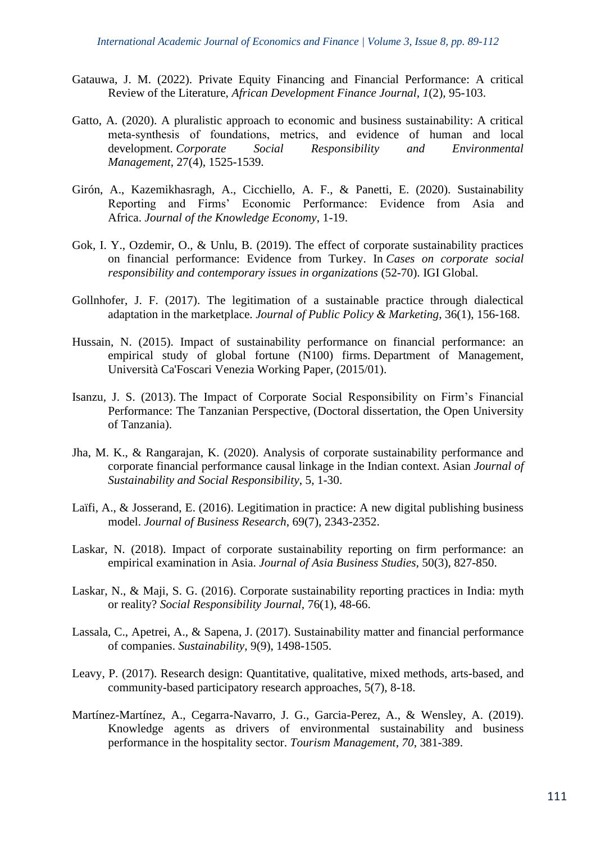- Gatauwa, J. M. (2022). Private Equity Financing and Financial Performance: A critical Review of the Literature, *African Development Finance Journal, 1*(2), 95-103.
- Gatto, A. (2020). A pluralistic approach to economic and business sustainability: A critical meta‐synthesis of foundations, metrics, and evidence of human and local development. *Corporate Social Responsibility and Environmental Management*, 27(4), 1525-1539.
- Girón, A., Kazemikhasragh, A., Cicchiello, A. F., & Panetti, E. (2020). Sustainability Reporting and Firms' Economic Performance: Evidence from Asia and Africa. *Journal of the Knowledge Economy*, 1-19.
- Gok, I. Y., Ozdemir, O., & Unlu, B. (2019). The effect of corporate sustainability practices on financial performance: Evidence from Turkey. In *Cases on corporate social responsibility and contemporary issues in organizations* (52-70). IGI Global.
- Gollnhofer, J. F. (2017). The legitimation of a sustainable practice through dialectical adaptation in the marketplace. *Journal of Public Policy & Marketing*, 36(1), 156-168.
- Hussain, N. (2015). Impact of sustainability performance on financial performance: an empirical study of global fortune (N100) firms. Department of Management, Università Ca'Foscari Venezia Working Paper, (2015/01).
- Isanzu, J. S. (2013). The Impact of Corporate Social Responsibility on Firm's Financial Performance: The Tanzanian Perspective, (Doctoral dissertation, the Open University of Tanzania).
- Jha, M. K., & Rangarajan, K. (2020). Analysis of corporate sustainability performance and corporate financial performance causal linkage in the Indian context. Asian *Journal of Sustainability and Social Responsibility*, 5, 1-30.
- Laïfi, A., & Josserand, E. (2016). Legitimation in practice: A new digital publishing business model. *Journal of Business Research*, 69(7), 2343-2352.
- Laskar, N. (2018). Impact of corporate sustainability reporting on firm performance: an empirical examination in Asia. *Journal of Asia Business Studies,* 50(3), 827-850.
- Laskar, N., & Maji, S. G. (2016). Corporate sustainability reporting practices in India: myth or reality? *Social Responsibility Journal,* 76(1), 48-66.
- Lassala, C., Apetrei, A., & Sapena, J. (2017). Sustainability matter and financial performance of companies. *Sustainability*, 9(9), 1498-1505.
- Leavy, P. (2017). Research design: Quantitative, qualitative, mixed methods, arts-based, and community-based participatory research approaches, 5(7), 8-18.
- Martínez-Martínez, A., Cegarra-Navarro, J. G., Garcia-Perez, A., & Wensley, A. (2019). Knowledge agents as drivers of environmental sustainability and business performance in the hospitality sector. *Tourism Management*, *70*, 381-389.